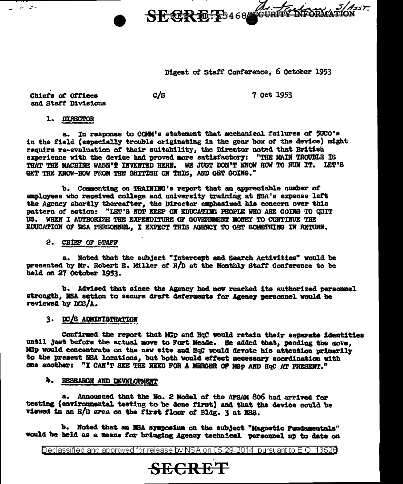Digest of Staff Conference, 6 October 1953

SECRE: 25468 GURTS

Chiefs of Offices and Staff Divisions

12 ST

 $c/s$ 

7 Oct 1953

WFORMATIC

1. DIRECTOR

a. In response to COMM's statement that mechanical failures of 50CO's in the field (especially trouble originating in the gear box of the device) might require re-evaluation of their suitability, the Director noted that British experience with the device had proved more satisfactory: "THE MAIN TROUBLE IS THAT THE MACHINE WASN'T INVENTED HERE. WE JUST DON'T KNOW HOW TO RUN IT. LET'S GET THE KNOW-HOW FROM THE BRITISH ON THIS. AND GET GOING."

b. Commenting on TRAINING's report that an appreciable number of employees who received college and university training at NBA's expense left the Agency shortly thereafter, the Director exphasized his concern over this pattern of action: "LET'S NOT KEEP ON EDUCATING PEOPLE WHO ARE GOING TO QUIT US. WHEN I AUTHORIZE THE EXPENDITURE OF GOVERNMENT MONEY TO CONTINUE THE EDUCATION OF NSA PERSONNEL, I EXPECT THIS AGENCY TO GET SOMETHING IN RETURN.

2. CHIEF OF STAFF

a. Noted that the subject "Intercept and Search Activities" would be presented by Mr. Robert E. Miller of R/D at the Monthly Staff Conference to be held on 27 October 1953.

b. Advised that since the Agency had now reached its authorized personnel strength. NSA action to secure draft deferments for Agency personnel would be reviewed by DCS/A.

## 3. DC/S ADMINISTRATION

Confirmed the report that MGp and HqC would retain their separate identities until just before the actual move to Fort Meade. He added that, pending the move, MGp would concentrate on the new site and HqC would devote his attention primarily to the present NSA locations, but both would effect necessary coordination with one another: "I CAN'T SEE THE NEED FOR A MERGER OF MGp AND HqC AT PRESENT."

### 4. RESEARCH AND DEVELOPMENT

a. Announced that the No. 2 Model of the AFSAM 806 had arrived for testing (environmental testing to be done first) and that the device could be viewed in an R/D area on the first floor of Bldg. 3 at NSS.

b. Noted that an NSA symposium on the subject "Magnetic Fundamentals" would be held as a means for bringing Agency technical personnel up to date on

Declassified and approved for release by NSA on 05-29-2014 pursuant to E.O. 13526

# **SECRET**